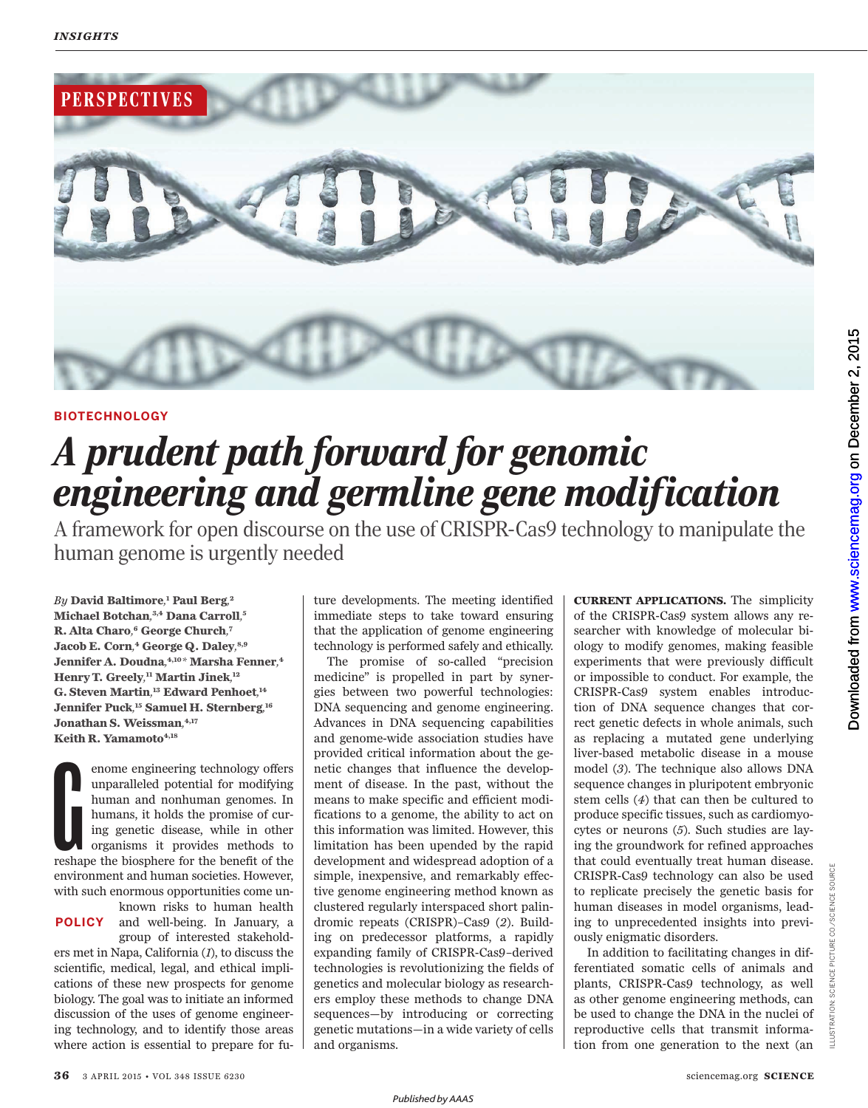

## **BIOTECHNOLOGY**

# *A prudent path forward for genomic engineering and germline gene modification*

A framework for open discourse on the use of CRISPR-Cas9 technology to manipulate the human genome is urgently needed

*By* **David Baltimore***,* **<sup>1</sup> Paul Berg***,* **2 Michael Botchan***,* **3, 4 Dana Carroll***,* **5 R. Alta Charo***,* **<sup>6</sup> George Church***,* **7 Jacob E. Corn***,* **<sup>4</sup> George Q. Daley***,* **8, 9 Jennifer A. Doudna***,* **4, 10***\** **Marsha Fenner***,* **4 Henry T. Greely***,* **<sup>11</sup> Martin Jinek***,* **12 G. Steven Martin***,* **<sup>13</sup> Edward Penhoet***,* **14 Jennifer Puck***,* **<sup>15</sup> Samuel H. Sternberg** *,* **16 Jonathan S. Weissman***,* **4, 17 Keith R. Yamamoto 4, 18**

enome engineering technology offers<br>unparalleled potential for modifying<br>humans and nonhuman genomes. In<br>humans, it holds the promise of cur-<br>ing genetic disease, while in other<br>organisms it provides methods to<br>reshape the enome engineering technology offers unparalleled potential for modifying human and nonhuman genomes. In humans, it holds the promise of curing genetic disease, while in other organisms it provides methods to environment and human societies. However, with such enormous opportunities come unknown risks to human health

and well-being. In January, a **POLICY** group of interested stakehold-

ers met in Napa, California (*1*), to discuss the scientific, medical, legal, and ethical implications of these new prospects for genome biology. The goal was to initiate an informed discussion of the uses of genome engineering technology, and to identify those areas where action is essential to prepare for future developments. The meeting identified immediate steps to take toward ensuring that the application of genome engineering technology is performed safely and ethically.

The promise of so-called "precision medicine" is propelled in part by synergies between two powerful technologies: DNA sequencing and genome engineering. Advances in DNA sequencing capabilities and genome-wide association studies have provided critical information about the genetic changes that influence the development of disease. In the past, without the means to make specific and efficient modifications to a genome, the ability to act on this information was limited. However, this limitation has been upended by the rapid development and widespread adoption of a simple, inexpensive, and remarkably effective genome engineering method known as clustered regularly interspaced short palindromic repeats (CRISPR)–Cas9 (*2*). Building on predecessor platforms, a rapidly expanding family of CRISPR-Cas9–derived technologies is revolutionizing the fields of genetics and molecular biology as researchers employ these methods to change DNA sequences—by introducing or correcting genetic mutations—in a wide variety of cells and organisms.

**CURRENT APPLICATIONS.** The simplicity of the CRISPR-Cas9 system allows any researcher with knowledge of molecular biology to modify genomes, making feasible experiments that were previously difficult or impossible to conduct. For example, the CRISPR-Cas9 system enables introduction of DNA sequence changes that correct genetic defects in whole animals, such as replacing a mutated gene underlying liver-based metabolic disease in a mouse model (*3*). The technique also allows DNA sequence changes in pluripotent embryonic stem cells (*4*) that can then be cultured to produce specific tissues, such as cardiomyocytes or neurons (*5*). Such studies are laying the groundwork for refined approaches that could eventually treat human disease. CRISPR-Cas9 technology can also be used to replicate precisely the genetic basis for human diseases in model organisms, leading to unprecedented insights into previously enigmatic disorders.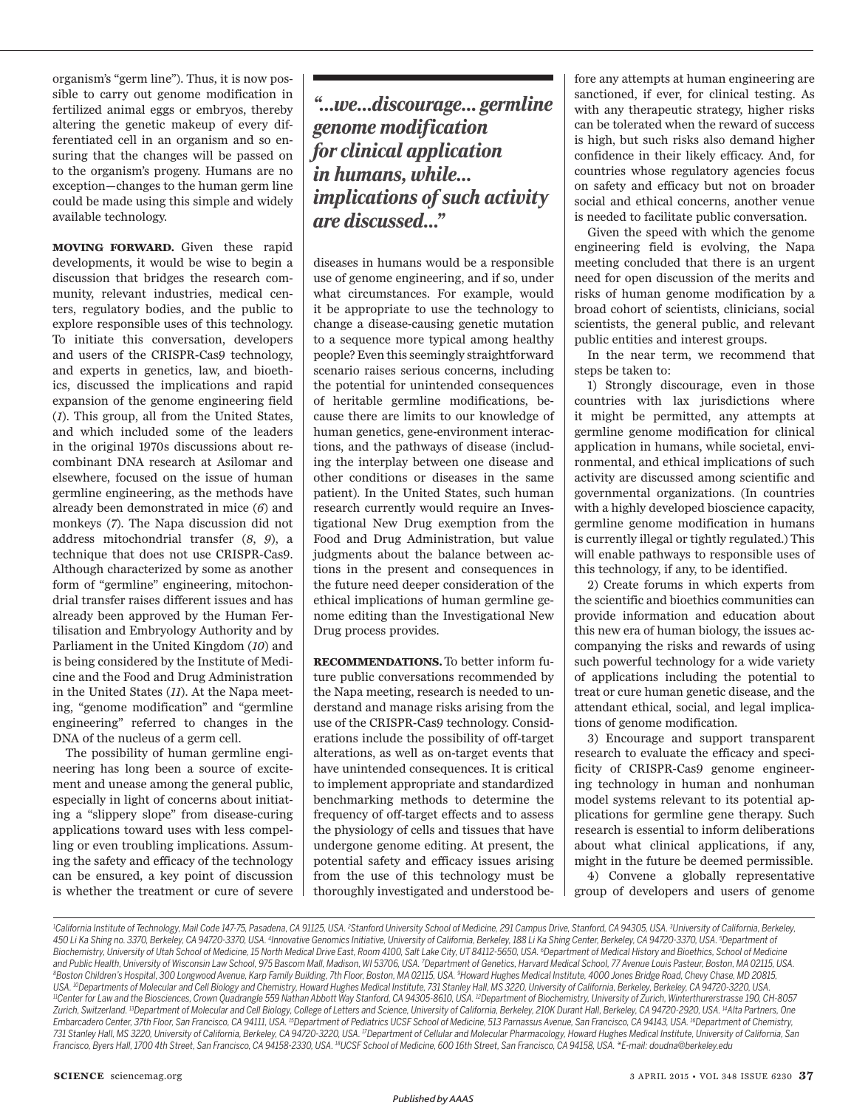organism's "germ line"). Thus, it is now possible to carry out genome modification in fertilized animal eggs or embryos, thereby altering the genetic makeup of every differentiated cell in an organism and so ensuring that the changes will be passed on to the organism's progeny. Humans are no exception—changes to the human germ line could be made using this simple and widely available technology.

**MOVING FORWARD.** Given these rapid developments, it would be wise to begin a discussion that bridges the research community, relevant industries, medical centers, regulatory bodies, and the public to explore responsible uses of this technology. To initiate this conversation, developers and users of the CRISPR-Cas9 technology, and experts in genetics, law, and bioethics, discussed the implications and rapid expansion of the genome engineering field ( *1*). This group, all from the United States, and which included some of the leaders in the original 1970s discussions about recombinant DNA research at Asilomar and elsewhere, focused on the issue of human germline engineering, as the methods have already been demonstrated in mice  $(6)$  and monkeys ( *7*). The Napa discussion did not address mitochondrial transfer (8, 9), a technique that does not use CRISPR-Cas9. Although characterized by some as another form of "germline" engineering, mitochondrial transfer raises different issues and has already been approved by the Human Fertilisation and Embryology Authority and by Parliament in the United Kingdom (10) and is being considered by the Institute of Medicine and the Food and Drug Administration in the United States (11). At the Napa meeting, "genome modification" and "germline engineering" referred to changes in the DNA of the nucleus of a germ cell.

The possibility of human germline engineering has long been a source of excitement and unease among the general public, especially in light of concerns about initiating a "slippery slope" from disease-curing applications toward uses with less compelling or even troubling implications. Assuming the safety and efficacy of the technology can be ensured, a key point of discussion is whether the treatment or cure of severe

*"…we…discourage… germline genome modification for clinical application in humans, while… implications of such activity are discussed…"*

diseases in humans would be a responsible use of genome engineering, and if so, under what circumstances. For example, would it be appropriate to use the technology to change a disease-causing genetic mutation to a sequence more typical among healthy people? Even this seemingly straightforward scenario raises serious concerns, including the potential for unintended consequences of heritable germline modifications, because there are limits to our knowledge of human genetics, gene-environment interactions, and the pathways of disease (including the interplay between one disease and other conditions or diseases in the same patient). In the United States, such human research currently would require an Investigational New Drug exemption from the Food and Drug Administration, but value judgments about the balance between actions in the present and consequences in the future need deeper consideration of the ethical implications of human germline genome editing than the Investigational New Drug process provides.

**RECOMMENDATIONS.** To better inform future public conversations recommended by the Napa meeting, research is needed to understand and manage risks arising from the use of the CRISPR-Cas9 technology. Considerations include the possibility of off-target alterations, as well as on-target events that have unintended consequences. It is critical to implement appropriate and standardized benchmarking methods to determine the frequency of off-target effects and to assess the physiology of cells and tissues that have undergone genome editing. At present, the potential safety and efficacy issues arising from the use of this technology must be thoroughly investigated and understood be-

fore any attempts at human engineering are sanctioned, if ever, for clinical testing. As with any therapeutic strategy, higher risks can be tolerated when the reward of success is high, but such risks also demand higher confidence in their likely efficacy. And, for countries whose regulatory agencies focus on safety and efficacy but not on broader social and ethical concerns, another venue is needed to facilitate public conversation.

Given the speed with which the genome engineering field is evolving, the Napa meeting concluded that there is an urgent need for open discussion of the merits and risks of human genome modification by a broad cohort of scientists, clinicians, social scientists, the general public, and relevant public entities and interest groups.

In the near term, we recommend that steps be taken to:

1) Strongly discourage, even in those countries with lax jurisdictions where it might be permitted, any attempts at germline genome modification for clinical application in humans, while societal, environmental, and ethical implications of such activity are discussed among scientific and governmental organizations. (In countries with a highly developed bioscience capacity, germline genome modification in humans is currently illegal or tightly regulated.) This will enable pathways to responsible uses of this technology, if any, to be identified.

2) Create forums in which experts from the scientific and bioethics communities can provide information and education about this new era of human biology, the issues accompanying the risks and rewards of using such powerful technology for a wide variety of applications including the potential to treat or cure human genetic disease, and the attendant ethical, social, and legal implications of genome modification.

3) Encourage and support transparent research to evaluate the efficacy and specificity of CRISPR-Cas9 genome engineering technology in human and nonhuman model systems relevant to its potential applications for germline gene therapy. Such research is essential to inform deliberations about what clinical applications, if any, might in the future be deemed permissible.

4) Convene a globally representative group of developers and users of genome

<sup>1</sup>California Institute of Technology, Mail Code 147-75, Pasadena, CA 91125, USA. <sup>2</sup>Stanford University School of Medicine, 291 Campus Drive, Stanford, CA 94305, USA. <sup>3</sup>University of California, Berkeley, 450 Li Ka Shing no. 3370, Berkeley, CA 94720-3370, USA. <sup>4</sup>Innovative Genomics Initiative, University of California, Berkeley, 188 Li Ka Shing Center, Berkeley, CA 94720-3370, USA. <sup>5</sup>Department of Biochemistry, University of Utah School of Medicine, 15 North Medical Drive East, Room 4100, Salt Lake City, UT 84112-5650, USA. <sup>6</sup>Department of Medical History and Bioethics, School of Medicine and Public Health, University of Wisconsin Law School, 975 Bascom Mall, Madison, WI 53706, USA. <sup>7</sup>Department of Genetics, Harvard Medical School, 77 Avenue Louis Pasteur, Boston, MA 02115, USA. <sup>8</sup>Boston Children's Hospital, 300 Longwood Avenue, Karp Family Building, 7th Floor, Boston, MA 02115, USA. <sup>9</sup>Howard Hughes Medical Institute, 4000 Jones Bridge Road, Chevy Chase, MD 20815, USA. <sup>10</sup>Departments of Molecular and Cell Biology and Chemistry, Howard Hughes Medical Institute, 731 Stanley Hall, MS 3220, University of California, Berkeley, Berkeley, CA 94720-3220, USA. *<sup>11</sup>Center for Law and the Biosciences, Crown Quadrangle 559 Nathan Abbott Way Stanford, CA 94305-8610, USA. <sup>12</sup>Department of Biochemistry, University of Zurich, Winterthurerstrasse 190, CH-8057*  Zurich, Switzerland. <sup>13</sup>Department of Molecular and Cell Biology, College of Letters and Science, University of California, Berkeley, 210K Durant Hall, Berkeley, CA 94720-2920, USA. <sup>14</sup>Alta Partners, One Embarcadero Center, 37th Floor, San Francisco, CA 94111, USA. <sup>15</sup>Department of Pediatrics UCSF School of Medicine, 513 Parnassus Avenue, San Francisco, CA 94143, USA. <sup>16</sup>Department of Chemistry, 731 Stanley Hall, MS 3220, University of California, Berkeley, CA 94720-3220, USA. <sup>17</sup>Department of Cellular and Molecular Pharmacology, Howard Hughes Medical Institute, University of California, San *Francisco, Byers Hall, 1700 4th Street, San Francisco, CA 94158-2330, USA. <sup>18</sup>UCSF School of Medicine, 600 16th Street, San Francisco, CA 94158, USA. \*E-mail: doudna@berkeley.edu*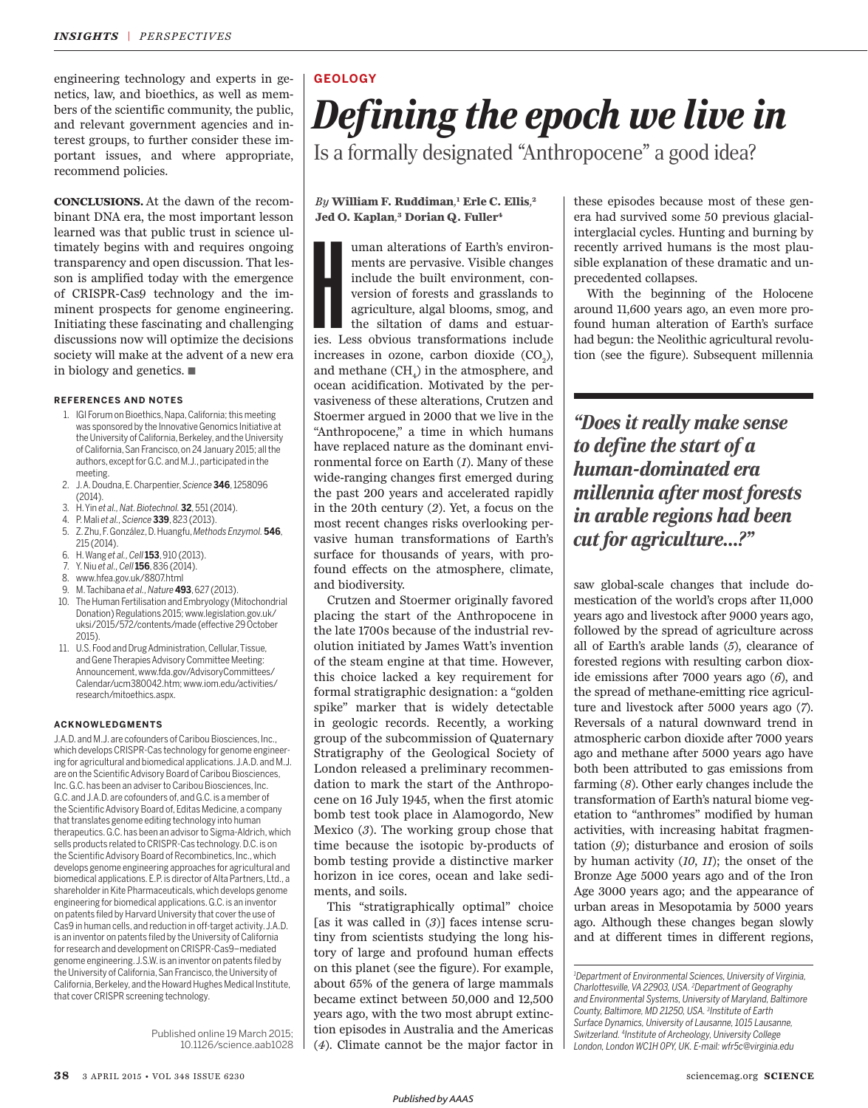engineering technology and experts in genetics, law, and bioethics, as well as members of the scientific community, the public, and relevant government agencies and interest groups, to further consider these important issues, and where appropriate, recommend policies.

**CONCLUSIONS.** At the dawn of the recombinant DNA era, the most important lesson learned was that public trust in science ultimately begins with and requires ongoing transparency and open discussion. That lesson is amplified today with the emergence of CRISPR-Cas9 technology and the imminent prospects for genome engineering. Initiating these fascinating and challenging discussions now will optimize the decisions society will make at the advent of a new era in biology and genetics. ■

#### **REFERENCES AND NOTES**

- 1. IGI Forum on Bioethics, Napa, California; this meeting was sponsored by the Innovative Genomics Initiative at the University of California, Berkeley, and the University of California, San Francisco, on 24 January 2015; all the authors, except for G.C. and M.J., participated in the meeting.
- 2. J. A. Doudna, E. Charpentier, *Science* **346**, 1258096 (2014).
- 3. H. Yin *et al., Nat. Biotechnol.* **32**, 551 (2014).
- 4. P. Mali *et al., Science* **339**, 823 (2013).
- 5. Z. Zhu, F. González, D. Huangfu, *Methods Enzymol.* **546**, 215 (2014).
- 6. H. Wang *et al., Cell* **153**, 910 (2013).
- 7. Y. Niu *et al., Cell* **156**, 836 (2014).
- 8. www.hfea.gov.uk/8807.html
- 9. M. Tachibana *et al., Nature***493**, 627 (2013).
- 10. The Human Fertilisation and Embryology (Mitochondrial Donation) Regulations 2015; www.legislation.gov.uk/ uksi/2015/572/contents/made (effective 29 October 2015).
- 11. U.S. Food and Drug Administration, Cellular, Tissue, and Gene Therapies Advisory Committee Meeting: Announcement, www.fda.gov/AdvisoryCommittees/ Calendar/ucm380042.htm; www.iom.edu/activities/ research/mitoethics.aspx.

#### **ACKNOWLEDGMENTS**

J.A.D. and M.J. are cofounders of Caribou Biosciences, Inc., which develops CRISPR-Cas technology for genome engineering for agricultural and biomedical applications. J.A.D. and M.J. are on the Scientific Advisory Board of Caribou Biosciences, Inc. G.C. has been an adviser to Caribou Biosciences, Inc. G.C. and J.A.D. are cofounders of, and G.C. is a member of the Scientific Advisory Board of, Editas Medicine, a company that translates genome editing technology into human therapeutics. G.C. has been an advisor to Sigma-Aldrich, which sells products related to CRISPR-Cas technology. D.C. is on the Scientific Advisory Board of Recombinetics, Inc., which develops genome engineering approaches for agricultural and biomedical applications. E.P. is director of Alta Partners, Ltd., a shareholder in Kite Pharmaceuticals, which develops genome engineering for biomedical applications. G.C. is an inventor on patents filed by Harvard University that cover the use of Cas9 in human cells, and reduction in off-target activity. J.A.D. is an inventor on patents filed by the University of California for research and development on CRISPR-Cas9–mediated genome engineering. J.S.W. is an inventor on patents filed by the University of California, San Francisco, the University of California, Berkeley, and the Howard Hughes Medical Institute, that cover CRISPR screening technology.

> Published online 19 March 2015; 10.1126/science.aab1028

## **GEOLOGY**

# *Defining the epoch we live in*

Is a formally designated "Anthropocene" a good idea?

#### *By* **William F. Ruddiman***,* **<sup>1</sup> Erle C. Ellis***,* **2 Jed O. Kaplan***,* **<sup>3</sup> Dorian Q. Fuller <sup>4</sup>**

less uman alterations of Earth's environments are pervasive. Visible changes include the built environment, conversion of forests and grasslands to agriculture, algal blooms, smog, and the siltation of dams and estuaries. uman alterations of Earth's environments are pervasive. Visible changes include the built environment, conversion of forests and grasslands to agriculture, algal blooms, smog, and the siltation of dams and estuarincreases in ozone, carbon dioxide  $(CO_2)$ , and methane  ${\rm (CH}_4)$  in the atmosphere, and ocean acidification. Motivated by the pervasiveness of these alterations, Crutzen and Stoermer argued in 2000 that we live in the "Anthropocene," a time in which humans have replaced nature as the dominant environmental force on Earth (1). Many of these wide-ranging changes first emerged during the past 200 years and accelerated rapidly in the 20th century (2). Yet, a focus on the most recent changes risks overlooking pervasive human transformations of Earth's surface for thousands of years, with profound effects on the atmosphere, climate, and biodiversity.

Crutzen and Stoermer originally favored placing the start of the Anthropocene in the late 1700s because of the industrial revolution initiated by James Watt's invention of the steam engine at that time. However, this choice lacked a key requirement for formal stratigraphic designation: a "golden spike" marker that is widely detectable in geologic records. Recently, a working group of the subcommission of Quaternary Stratigraphy of the Geological Society of London released a preliminary recommendation to mark the start of the Anthropocene on 16 July 1945, when the first atomic bomb test took place in Alamogordo, New Mexico (3). The working group chose that time because the isotopic by-products of bomb testing provide a distinctive marker horizon in ice cores, ocean and lake sediments, and soils.

This "stratigraphically optimal" choice [as it was called in  $(3)$ ] faces intense scrutiny from scientists studying the long history of large and profound human effects on this planet (see the figure). For example, about 65% of the genera of large mammals became extinct between 50,000 and 12,500 years ago, with the two most abrupt extinction episodes in Australia and the Americas ( *4*). Climate cannot be the major factor in

these episodes because most of these genera had survived some 50 previous glacialinterglacial cycles. Hunting and burning by recently arrived humans is the most plausible explanation of these dramatic and unprecedented collapses.

With the beginning of the Holocene around 11,600 years ago, an even more profound human alteration of Earth's surface had begun: the Neolithic agricultural revolution (see the figure). Subsequent millennia

*"Does it really make sense to define the start of a human-dominated era millennia after most forests in arable regions had been cut for agriculture…?"*

saw global-scale changes that include domestication of the world's crops after 11,000 years ago and livestock after 9000 years ago, followed by the spread of agriculture across all of Earth's arable lands ( *5*), clearance of forested regions with resulting carbon dioxide emissions after 7000 years ago (6), and the spread of methane-emitting rice agriculture and livestock after 5000 years ago (*7* ). Reversals of a natural downward trend in atmospheric carbon dioxide after 7000 years ago and methane after 5000 years ago have both been attributed to gas emissions from farming (8). Other early changes include the transformation of Earth's natural biome vegetation to "anthromes" modified by human activities, with increasing habitat fragmentation  $(9)$ ; disturbance and erosion of soils by human activity ( *10*, *11*); the onset of the Bronze Age 5000 years ago and of the Iron Age 3000 years ago; and the appearance of urban areas in Mesopotamia by 5000 years ago. Although these changes began slowly and at different times in different regions,

*<sup>1</sup>Department of Environmental Sciences, University of Virginia, Charlottesville, VA 22903, USA. <sup>2</sup>Department of Geography and Environmental Systems, University of Maryland, Baltimore County, Baltimore, MD 21250, USA. <sup>3</sup> Institute of Earth Surface Dynamics, University of Lausanne, 1015 Lausanne, Switzerland. <sup>4</sup> Institute of Archeology, University College London, London WC1H 0PY, UK. E-mail: wfr5c@virginia.edu*